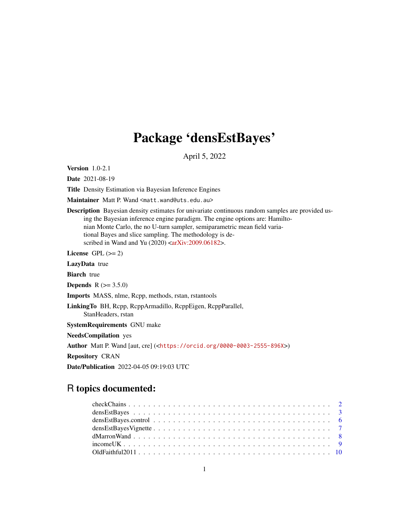# Package 'densEstBayes'

April 5, 2022

Version 1.0-2.1

Date 2021-08-19

Title Density Estimation via Bayesian Inference Engines

Maintainer Matt P. Wand <matt.wand@uts.edu.au>

Description Bayesian density estimates for univariate continuous random samples are provided using the Bayesian inference engine paradigm. The engine options are: Hamiltonian Monte Carlo, the no U-turn sampler, semiparametric mean field variational Bayes and slice sampling. The methodology is described in Wand and Yu  $(2020)$  [<arXiv:2009.06182>](https://arxiv.org/abs/2009.06182).

License GPL  $(>= 2)$ 

LazyData true

**Biarch** true

**Depends**  $R (= 3.5.0)$ 

Imports MASS, nlme, Rcpp, methods, rstan, rstantools

LinkingTo BH, Rcpp, RcppArmadillo, RcppEigen, RcppParallel,

StanHeaders, rstan

SystemRequirements GNU make

NeedsCompilation yes

Author Matt P. Wand [aut, cre] (<<https://orcid.org/0000-0003-2555-896X>>)

Repository CRAN

Date/Publication 2022-04-05 09:19:03 UTC

# R topics documented: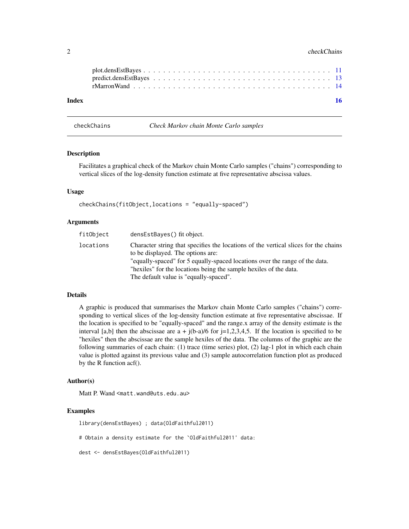#### <span id="page-1-0"></span>2 checkChains and the checkChains and the checkChains and the checkChains and the checkChains and the checkChains and the checkChains and the checkChains and the checkChains and the checkChains and the checkChains and the

| Index |  |  |  |  |  |  |  |  |  |  |  |  |  |  |  |  | -16 |
|-------|--|--|--|--|--|--|--|--|--|--|--|--|--|--|--|--|-----|
|       |  |  |  |  |  |  |  |  |  |  |  |  |  |  |  |  |     |
|       |  |  |  |  |  |  |  |  |  |  |  |  |  |  |  |  |     |

checkChains *Check Markov chain Monte Carlo samples*

### **Description**

Facilitates a graphical check of the Markov chain Monte Carlo samples ("chains") corresponding to vertical slices of the log-density function estimate at five representative abscissa values.

#### Usage

```
checkChains(fitObject,locations = "equally-spaced")
```
#### **Arguments**

| fitObject | densEstBayes() fit object.                                                                                                                                                                                                                                                                                             |
|-----------|------------------------------------------------------------------------------------------------------------------------------------------------------------------------------------------------------------------------------------------------------------------------------------------------------------------------|
| locations | Character string that specifies the locations of the vertical slices for the chains<br>to be displayed. The options are:<br>"equally-spaced" for 5 equally-spaced locations over the range of the data.<br>"hexiles" for the locations being the sample hexiles of the data.<br>The default value is "equally-spaced". |
|           |                                                                                                                                                                                                                                                                                                                        |

### Details

A graphic is produced that summarises the Markov chain Monte Carlo samples ("chains") corresponding to vertical slices of the log-density function estimate at five representative abscissae. If the location is specified to be "equally-spaced" and the range.x array of the density estimate is the interval [a,b] then the abscissae are  $a + j(b-a)/6$  for  $j=1,2,3,4,5$ . If the location is specified to be "hexiles" then the abscissae are the sample hexiles of the data. The columns of the graphic are the following summaries of each chain: (1) trace (time series) plot, (2) lag-1 plot in which each chain value is plotted against its previous value and (3) sample autocorrelation function plot as produced by the R function acf().

#### Author(s)

Matt P. Wand <matt.wand@uts.edu.au>

# Examples

library(densEstBayes) ; data(OldFaithful2011) # Obtain a density estimate for the `OldFaithful2011' data: dest <- densEstBayes(OldFaithful2011)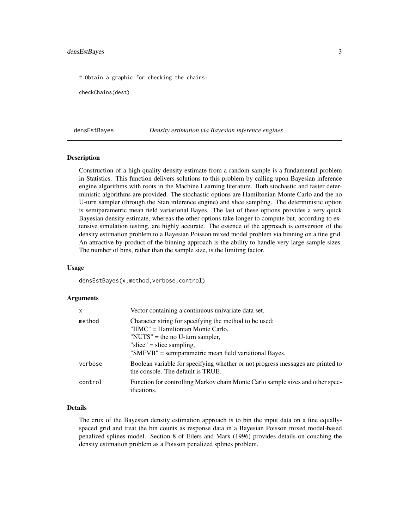#### <span id="page-2-0"></span>densEstBayes 3

# Obtain a graphic for checking the chains:

checkChains(dest)

densEstBayes *Density estimation via Bayesian inference engines*

#### Description

Construction of a high quality density estimate from a random sample is a fundamental problem in Statistics. This function delivers solutions to this problem by calling upon Bayesian inference engine algorithms with roots in the Machine Learning literature. Both stochastic and faster deterministic algorithms are provided. The stochastic options are Hamiltonian Monte Carlo and the no U-turn sampler (through the Stan inference engine) and slice sampling. The deterministic option is semiparametric mean field variational Bayes. The last of these options provides a very quick Bayesian density estimate, whereas the other options take longer to compute but, according to extensive simulation testing, are highly accurate. The essence of the approach is conversion of the density estimation problem to a Bayesian Poisson mixed model problem via binning on a fine grid. An attractive by-product of the binning approach is the ability to handle very large sample sizes. The number of bins, rather than the sample size, is the limiting factor.

#### Usage

densEstBayes(x,method,verbose,control)

#### Arguments

| $\mathsf{x}$ | Vector containing a continuous univariate data set.                                                                                                                                                                  |
|--------------|----------------------------------------------------------------------------------------------------------------------------------------------------------------------------------------------------------------------|
| method       | Character string for specifying the method to be used:<br>"HMC" = Hamiltonian Monte Carlo,<br>"NUTS" = the no U-turn sampler,<br>"slice" = slice sampling,<br>"SMFVB" = semiparametric mean field variational Bayes. |
| verbose      | Boolean variable for specifying whether or not progress messages are printed to<br>the console. The default is TRUE.                                                                                                 |
| control      | Function for controlling Markov chain Monte Carlo sample sizes and other spec-<br><i>ifications.</i>                                                                                                                 |

#### Details

The crux of the Bayesian density estimation approach is to bin the input data on a fine equallyspaced grid and treat the bin counts as response data in a Bayesian Poisson mixed model-based penalized splines model. Section 8 of Eilers and Marx (1996) provides details on couching the density estimation problem as a Poisson penalized splines problem.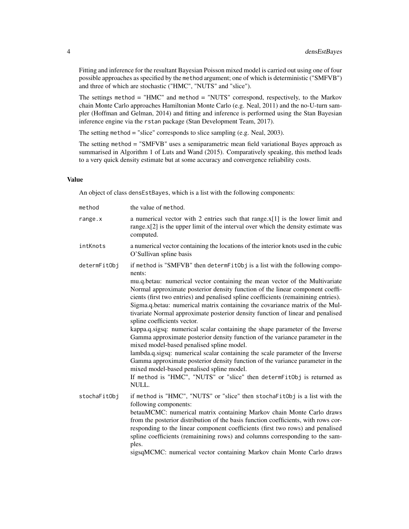Fitting and inference for the resultant Bayesian Poisson mixed model is carried out using one of four possible approaches as specified by the method argument; one of which is deterministic ("SMFVB") and three of which are stochastic ("HMC", "NUTS" and "slice").

The settings method = "HMC" and method = "NUTS" correspond, respectively, to the Markov chain Monte Carlo approaches Hamiltonian Monte Carlo (e.g. Neal, 2011) and the no-U-turn sampler (Hoffman and Gelman, 2014) and fitting and inference is performed using the Stan Bayesian inference engine via the rstan package (Stan Development Team, 2017).

The setting method = "slice" corresponds to slice sampling (e.g. Neal, 2003).

The setting method = "SMFVB" uses a semiparametric mean field variational Bayes approach as summarised in Algorithm 1 of Luts and Wand (2015). Comparatively speaking, this method leads to a very quick density estimate but at some accuracy and convergence reliability costs.

### Value

An object of class densEstBayes, which is a list with the following components:

| method       | the value of method.                                                                                                                                                                                                                                                                                                                                                                                                                                                                                                                                                                                                                                                                                                                                                                                                                                                                                                                                                                                                                                            |
|--------------|-----------------------------------------------------------------------------------------------------------------------------------------------------------------------------------------------------------------------------------------------------------------------------------------------------------------------------------------------------------------------------------------------------------------------------------------------------------------------------------------------------------------------------------------------------------------------------------------------------------------------------------------------------------------------------------------------------------------------------------------------------------------------------------------------------------------------------------------------------------------------------------------------------------------------------------------------------------------------------------------------------------------------------------------------------------------|
| range.x      | a numerical vector with 2 entries such that $range.x[1]$ is the lower limit and<br>range. $x[2]$ is the upper limit of the interval over which the density estimate was<br>computed.                                                                                                                                                                                                                                                                                                                                                                                                                                                                                                                                                                                                                                                                                                                                                                                                                                                                            |
| intKnots     | a numerical vector containing the locations of the interior knots used in the cubic<br>O'Sullivan spline basis                                                                                                                                                                                                                                                                                                                                                                                                                                                                                                                                                                                                                                                                                                                                                                                                                                                                                                                                                  |
| determFitObj | if method is "SMFVB" then determFitObj is a list with the following compo-<br>nents:<br>mu.q.betau: numerical vector containing the mean vector of the Multivariate<br>Normal approximate posterior density function of the linear component coeffi-<br>cients (first two entries) and penalised spline coefficients (remainining entries).<br>Sigma.q.betau: numerical matrix containing the covariance matrix of the Mul-<br>tivariate Normal approximate posterior density function of linear and penalised<br>spline coefficients vector.<br>kappa.q.sigsq: numerical scalar containing the shape parameter of the Inverse<br>Gamma approximate posterior density function of the variance parameter in the<br>mixed model-based penalised spline model.<br>lambda.q.sigsq: numerical scalar containing the scale parameter of the Inverse<br>Gamma approximate posterior density function of the variance parameter in the<br>mixed model-based penalised spline model.<br>If method is "HMC", "NUTS" or "slice" then determFitObj is returned as<br>NULL. |
| stochaFitObj | if method is "HMC", "NUTS" or "slice" then stochaFitObj is a list with the<br>following components:<br>betauMCMC: numerical matrix containing Markov chain Monte Carlo draws<br>from the posterior distribution of the basis function coefficients, with rows cor-<br>responding to the linear component coefficients (first two rows) and penalised<br>spline coefficients (remainining rows) and columns corresponding to the sam-<br>ples.                                                                                                                                                                                                                                                                                                                                                                                                                                                                                                                                                                                                                   |

sigsqMCMC: numerical vector containing Markov chain Monte Carlo draws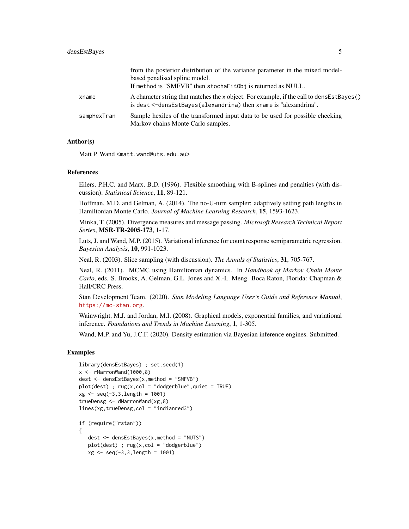|             | from the posterior distribution of the variance parameter in the mixed model-                                                                                |
|-------------|--------------------------------------------------------------------------------------------------------------------------------------------------------------|
|             | based penalised spline model.                                                                                                                                |
|             | If method is "SMFVB" then stochafitObj is returned as NULL.                                                                                                  |
| xname       | A character string that matches the x object. For example, if the call to densEstBayes()<br>is dest <-densEstBayes(alexandrina) then xname is "alexandrina". |
| sampHexTran | Sample hexiles of the transformed input data to be used for possible checking<br>Markov chains Monte Carlo samples.                                          |

#### Author(s)

Matt P. Wand <matt.wand@uts.edu.au>

#### References

Eilers, P.H.C. and Marx, B.D. (1996). Flexible smoothing with B-splines and penalties (with discussion). *Statistical Science*, 11, 89-121.

Hoffman, M.D. and Gelman, A. (2014). The no-U-turn sampler: adaptively setting path lengths in Hamiltonian Monte Carlo. *Journal of Machine Learning Research*, 15, 1593-1623.

Minka, T. (2005). Divergence measures and message passing. *Microsoft Research Technical Report Series*, MSR-TR-2005-173, 1-17.

Luts, J. and Wand, M.P. (2015). Variational inference for count response semiparametric regression. *Bayesian Analysis*, 10, 991-1023.

Neal, R. (2003). Slice sampling (with discussion). *The Annals of Statistics*, 31, 705-767.

Neal, R. (2011). MCMC using Hamiltonian dynamics. In *Handbook of Markov Chain Monte Carlo*, eds. S. Brooks, A. Gelman, G.L. Jones and X.-L. Meng. Boca Raton, Florida: Chapman & Hall/CRC Press.

Stan Development Team. (2020). *Stan Modeling Language User's Guide and Reference Manual*, <https://mc-stan.org>.

Wainwright, M.J. and Jordan, M.I. (2008). Graphical models, exponential families, and variational inference. *Foundations and Trends in Machine Learning*, 1, 1-305.

Wand, M.P. and Yu, J.C.F. (2020). Density estimation via Bayesian inference engines. Submitted.

```
library(densEstBayes) ; set.seed(1)
x \leq -rMarronWand(1000,8)
dest <- densEstBayes(x,method = "SMFVB")
plot(dest); rug(x, col = "dodgerblue", quiet = TRUE)xg <- seq(-3,3,length = 1001)
trueDensg <- dMarronWand(xg,8)
lines(xg,trueDensg,col = "indianred3")
if (require("rstan"))
{
   dest <- densEstBayes(x,method = "NUTS")
   plot(dest) ; rug(x,col = "dodgerblue")
   xg <- seq(-3,3,length = 1001)
```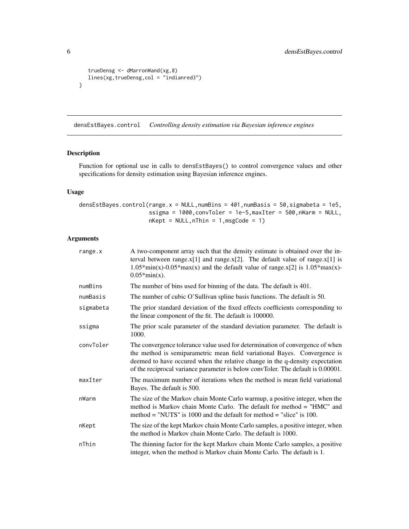```
trueDensg <- dMarronWand(xg,8)
  lines(xg,trueDensg,col = "indianred3")
}
```
densEstBayes.control *Controlling density estimation via Bayesian inference engines*

#### Description

Function for optional use in calls to densEstBayes() to control convergence values and other specifications for density estimation using Bayesian inference engines.

#### Usage

```
densEstBayes.control(range.x = NULL,numBins = 401,numBasis = 50,sigmabeta = 1e5,
                     ssigma = 1000,convToler = 1e-5,maxIter = 500,nWarm = NULL,
                     nkept = NULL, nThin = 1, msgCode = 1)
```
## Arguments

| range.x   | A two-component array such that the density estimate is obtained over the in-<br>terval between range. $x[1]$ and range. $x[2]$ . The default value of range. $x[1]$ is<br>$1.05*min(x)-0.05*max(x)$ and the default value of range.x[2] is $1.05*max(x)$ -<br>$0.05*min(x)$ .                                                 |
|-----------|--------------------------------------------------------------------------------------------------------------------------------------------------------------------------------------------------------------------------------------------------------------------------------------------------------------------------------|
| numBins   | The number of bins used for binning of the data. The default is 401.                                                                                                                                                                                                                                                           |
| numBasis  | The number of cubic O'Sullivan spline basis functions. The default is 50.                                                                                                                                                                                                                                                      |
| sigmabeta | The prior standard deviation of the fixed effects coefficients corresponding to<br>the linear component of the fit. The default is 100000.                                                                                                                                                                                     |
| ssigma    | The prior scale parameter of the standard deviation parameter. The default is<br>1000.                                                                                                                                                                                                                                         |
| convToler | The convergence tolerance value used for determination of convergence of when<br>the method is semiparametric mean field variational Bayes. Convergence is<br>deemed to have occured when the relative change in the q-density expectation<br>of the reciprocal variance parameter is below convToler. The default is 0.00001. |
| maxIter   | The maximum number of iterations when the method is mean field variational<br>Bayes. The default is 500.                                                                                                                                                                                                                       |
| nWarm     | The size of the Markov chain Monte Carlo warmup, a positive integer, when the<br>method is Markov chain Monte Carlo. The default for method = "HMC" and<br>method = "NUTS" is $1000$ and the default for method = "slice" is $100$ .                                                                                           |
| nKept     | The size of the kept Markov chain Monte Carlo samples, a positive integer, when<br>the method is Markov chain Monte Carlo. The default is 1000.                                                                                                                                                                                |
| nThin     | The thinning factor for the kept Markov chain Monte Carlo samples, a positive<br>integer, when the method is Markov chain Monte Carlo. The default is 1.                                                                                                                                                                       |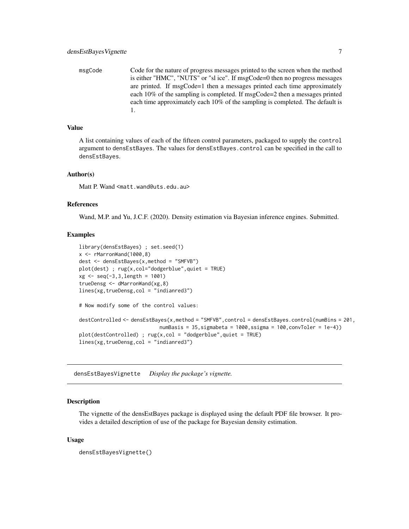<span id="page-6-0"></span>msgCode Code for the nature of progress messages printed to the screen when the method is either "HMC", "NUTS" or "sl ice". If msgCode=0 then no progress messages are printed. If msgCode=1 then a messages printed each time approximately each 10% of the sampling is completed. If msgCode=2 then a messages printed each time approximately each 10% of the sampling is completed. The default is 1.

#### Value

A list containing values of each of the fifteen control parameters, packaged to supply the control argument to densEstBayes. The values for densEstBayes.control can be specified in the call to densEstBayes.

#### Author(s)

Matt P. Wand <matt.wand@uts.edu.au>

#### References

Wand, M.P. and Yu, J.C.F. (2020). Density estimation via Bayesian inference engines. Submitted.

#### Examples

```
library(densEstBayes) ; set.seed(1)
x \leq -rMarronWand(1000,8)
dest <- densEstBayes(x,method = "SMFVB")
plot(dest) ; rug(x,col="dodgerblue",quiet = TRUE)
xg \leq -\text{seq}(-3,3,\text{length} = 1001)trueDensg <- dMarronWand(xg,8)
lines(xg,trueDensg,col = "indianred3")
# Now modify some of the control values:
destControlled <- densEstBayes(x,method = "SMFVB",control = densEstBayes.control(numBins = 201,
                            numBasis = 35, sigmabeta = 1000, ssigma = 100, convToler = 1e-4))
plot(destControlled) ; rug(x,col = "dodgerblue",quiet = TRUE)
lines(xg,trueDensg,col = "indianred3")
```
densEstBayesVignette *Display the package's vignette.*

#### Description

The vignette of the densEstBayes package is displayed using the default PDF file browser. It provides a detailed description of use of the package for Bayesian density estimation.

#### Usage

```
densEstBayesVignette()
```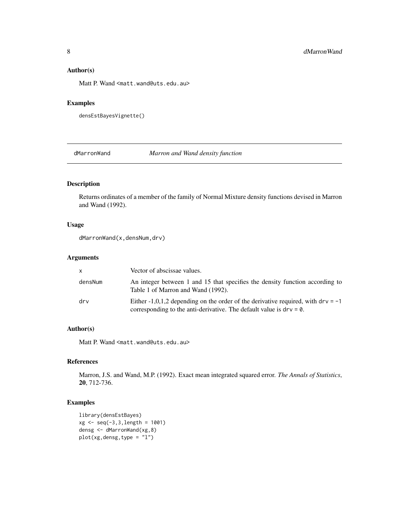#### <span id="page-7-0"></span>Author(s)

Matt P. Wand <matt.wand@uts.edu.au>

#### Examples

```
densEstBayesVignette()
```
dMarronWand *Marron and Wand density function*

## Description

Returns ordinates of a member of the family of Normal Mixture density functions devised in Marron and Wand (1992).

#### Usage

```
dMarronWand(x,densNum,drv)
```
#### Arguments

| X.      | Vector of abscissae values.                                                                                                                                  |
|---------|--------------------------------------------------------------------------------------------------------------------------------------------------------------|
| densNum | An integer between 1 and 15 that specifies the density function according to<br>Table 1 of Marron and Wand (1992).                                           |
| drv     | Either -1,0,1,2 depending on the order of the derivative required, with $drv = -1$<br>corresponding to the anti-derivative. The default value is $drv = 0$ . |

# Author(s)

Matt P. Wand <matt.wand@uts.edu.au>

#### References

Marron, J.S. and Wand, M.P. (1992). Exact mean integrated squared error. *The Annals of Statistics*, 20, 712-736.

```
library(densEstBayes)
xg \le -\text{seq}(-3,3,\text{length} = 1001)densg <- dMarronWand(xg,8)
plot(xg,densg,type = "l")
```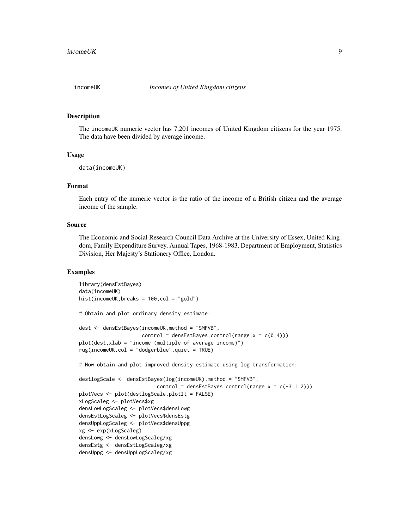<span id="page-8-0"></span>

#### Description

The incomeUK numeric vector has 7,201 incomes of United Kingdom citizens for the year 1975. The data have been divided by average income.

#### Usage

```
data(incomeUK)
```
#### Format

Each entry of the numeric vector is the ratio of the income of a British citizen and the average income of the sample.

#### Source

The Economic and Social Research Council Data Archive at the University of Essex, United Kingdom, Family Expenditure Survey, Annual Tapes, 1968-1983, Department of Employment, Statistics Division, Her Majesty's Stationery Office, London.

```
library(densEstBayes)
data(incomeUK)
hist(incomeUK,breaks = 100,col = "gold")
# Obtain and plot ordinary density estimate:
dest <- densEstBayes(incomeUK,method = "SMFVB",
                     control = denseStBayes.control(range.x = c(0,4)))plot(dest,xlab = "income (multiple of average income)")
rug(incomeUK,col = "dodgerblue",quiet = TRUE)
# Now obtain and plot improved density estimate using log transformation:
destlogScale <- densEstBayes(log(incomeUK),method = "SMFVB",
                          control = densEstBayes.control(range.x = c(-3,1.2)))
plotVecs <- plot(destlogScale,plotIt = FALSE)
xLogScaleg <- plotVecs$xg
densLowLogScaleg <- plotVecs$densLowg
densEstLogScaleg <- plotVecs$densEstg
densUppLogScaleg <- plotVecs$densUppg
xg <- exp(xLogScaleg)
densLowg <- densLowLogScaleg/xg
densEstg <- densEstLogScaleg/xg
densUppg <- densUppLogScaleg/xg
```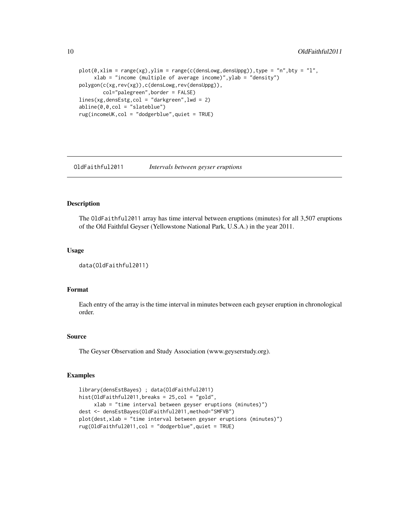```
plot(0,xlim = range(xg),ylim = range(c(densLowg,densUppg)),type = "n",bty = "l",
     xlab = "income (multiple of average income)",ylab = "density")
polygon(c(xg,rev(xg)),c(densLowg,rev(densUppg)),
       col="palegreen",border = FALSE)
lines(xg,densEstg,col = "darkgreen",lwd = 2)
abline(0,0,col = "slateblue")
rug(incomeUK,col = "dodgerblue",quiet = TRUE)
```
OldFaithful2011 *Intervals between geyser eruptions*

#### Description

The OldFaithful2011 array has time interval between eruptions (minutes) for all 3,507 eruptions of the Old Faithful Geyser (Yellowstone National Park, U.S.A.) in the year 2011.

#### Usage

```
data(OldFaithful2011)
```
#### Format

Each entry of the array is the time interval in minutes between each geyser eruption in chronological order.

#### Source

The Geyser Observation and Study Association (www.geyserstudy.org).

```
library(densEstBayes) ; data(OldFaithful2011)
hist(OldFaithful2011,breaks = 25,col = "gold",
     xlab = "time interval between geyser eruptions (minutes)")
dest <- densEstBayes(OldFaithful2011,method="SMFVB")
plot(dest,xlab = "time interval between geyser eruptions (minutes)")
rug(OldFaithful2011,col = "dodgerblue",quiet = TRUE)
```
<span id="page-9-0"></span>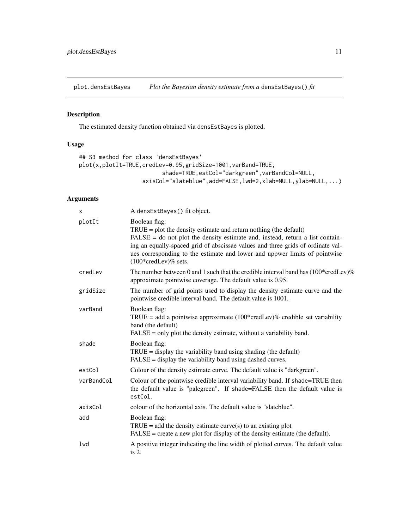<span id="page-10-0"></span>plot.densEstBayes *Plot the Bayesian density estimate from a* densEstBayes() *fit*

### Description

The estimated density function obtained via densEstBayes is plotted.

### Usage

```
## S3 method for class 'densEstBayes'
plot(x,plotIt=TRUE,credLev=0.95,gridSize=1001,varBand=TRUE,
                         shade=TRUE,estCol="darkgreen",varBandCol=NULL,
                   axisCol="slateblue",add=FALSE,lwd=2,xlab=NULL,ylab=NULL,...)
```
# Arguments

| X          | A densEstBayes() fit object.                                                                                                                                                                                                                                                                                                                                              |
|------------|---------------------------------------------------------------------------------------------------------------------------------------------------------------------------------------------------------------------------------------------------------------------------------------------------------------------------------------------------------------------------|
| plotIt     | Boolean flag:<br>$TRUE = plot$ the density estimate and return nothing (the default)<br>$FALSE = do not plot the density estimate and, instead, return a list contain-$<br>ing an equally-spaced grid of abscissae values and three grids of ordinate val-<br>ues corresponding to the estimate and lower and uppwer limits of pointwise<br>$(100*{\rm credLev})\%$ sets. |
| credLev    | The number between 0 and 1 such that the credible interval band has $(100*{\rm credLev})\%$<br>approximate pointwise coverage. The default value is 0.95.                                                                                                                                                                                                                 |
| gridSize   | The number of grid points used to display the density estimate curve and the<br>pointwise credible interval band. The default value is 1001.                                                                                                                                                                                                                              |
| varBand    | Boolean flag:<br>TRUE = add a pointwise approximate $(100*{\text{credLev}})\%$ credible set variability<br>band (the default)<br>$FALSE = only plot the density estimate, without a variability band.$                                                                                                                                                                    |
| shade      | Boolean flag:<br>$TRUE = display$ the variability band using shading (the default)<br>$FALSE = display the variability band using dashed curves.$                                                                                                                                                                                                                         |
| estCol     | Colour of the density estimate curve. The default value is "darkgreen".                                                                                                                                                                                                                                                                                                   |
| varBandCol | Colour of the pointwise credible interval variability band. If shade=TRUE then<br>the default value is "palegreen". If shade=FALSE then the default value is<br>estCol.                                                                                                                                                                                                   |
| axisCol    | colour of the horizontal axis. The default value is "slateblue".                                                                                                                                                                                                                                                                                                          |
| add        | Boolean flag:<br>$TRUE = add$ the density estimate curve(s) to an existing plot<br>$FALSE = create$ a new plot for display of the density estimate (the default).                                                                                                                                                                                                         |
| lwd        | A positive integer indicating the line width of plotted curves. The default value<br>is $2$ .                                                                                                                                                                                                                                                                             |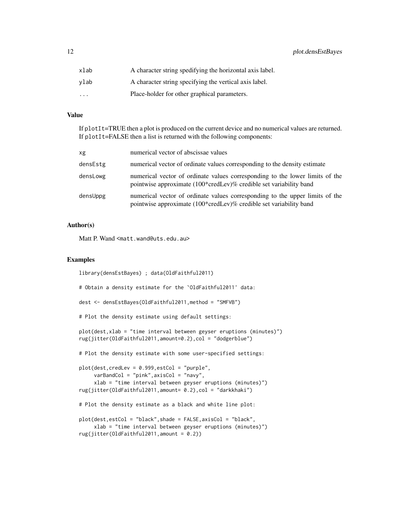| xlab                    | A character string spedifying the horizontal axis label. |
|-------------------------|----------------------------------------------------------|
| vlab                    | A character string specifying the vertical axis label.   |
| $\cdot$ $\cdot$ $\cdot$ | Place-holder for other graphical parameters.             |

#### Value

If plotIt=TRUE then a plot is produced on the current device and no numerical values are returned. If plotIt=FALSE then a list is returned with the following components:

| xg       | numerical vector of abscissae values                                                                                                               |
|----------|----------------------------------------------------------------------------------------------------------------------------------------------------|
| densEstg | numerical vector of ordinate values corresponding to the density estimate                                                                          |
| densLowg | numerical vector of ordinate values corresponding to the lower limits of the<br>pointwise approximate (100*credLev)% credible set variability band |
| densUppg | numerical vector of ordinate values corresponding to the upper limits of the<br>pointwise approximate (100*credLev)% credible set variability band |

#### Author(s)

Matt P. Wand <matt.wand@uts.edu.au>

```
library(densEstBayes) ; data(OldFaithful2011)
# Obtain a density estimate for the `OldFaithful2011' data:
dest <- densEstBayes(OldFaithful2011,method = "SMFVB")
# Plot the density estimate using default settings:
plot(dest,xlab = "time interval between geyser eruptions (minutes)")
rug(jitter(OldFaithful2011,amount=0.2),col = "dodgerblue")
# Plot the density estimate with some user-specified settings:
plot(dest,credLev = 0.999,estCol = "purple",
    varBandCol = "pink",axisCol = "navy",
     xlab = "time interval between geyser eruptions (minutes)")
rug(jitter(OldFaithful2011,amount= 0.2),col = "darkkhaki")
# Plot the density estimate as a black and white line plot:
plot(dest,estCol = "black",shade = FALSE,axisCol = "black",
     xlab = "time interval between geyser eruptions (minutes)")
rug(jitter(OldFaithful2011,amount = 0.2))
```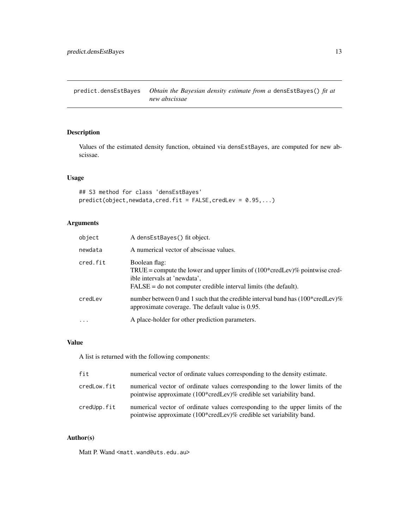<span id="page-12-0"></span>predict.densEstBayes *Obtain the Bayesian density estimate from a* densEstBayes() *fit at new abscissae*

# Description

Values of the estimated density function, obtained via densEstBayes, are computed for new abscissae.

#### Usage

```
## S3 method for class 'densEstBayes'
predict(object,newdata,cred.fit = FALSE,credLev = 0.95,...)
```
### Arguments

| object   | A densEstBayes() fit object.                                                                                                                                                                                  |
|----------|---------------------------------------------------------------------------------------------------------------------------------------------------------------------------------------------------------------|
| newdata  | A numerical vector of abscissae values.                                                                                                                                                                       |
| cred.fit | Boolean flag:<br>TRUE = compute the lower and upper limits of $(100^* \text{credLev})\%$ pointwise cred-<br>ible intervals at 'newdata',<br>$FALSE = do not computer credible interval limits (the default).$ |
| credLev  | number between 0 and 1 such that the credible interval band has $(100*{\rm credLev})\%$<br>approximate coverage. The default value is 0.95.                                                                   |
| $\cdots$ | A place-holder for other prediction parameters.                                                                                                                                                               |

#### Value

A list is returned with the following components:

| fit         | numerical vector of ordinate values corresponding to the density estimate.                                                                          |
|-------------|-----------------------------------------------------------------------------------------------------------------------------------------------------|
| credLow.fit | numerical vector of ordinate values corresponding to the lower limits of the<br>pointwise approximate (100*credLev)% credible set variability band. |
| credUpp.fit | numerical vector of ordinate values corresponding to the upper limits of the<br>pointwise approximate (100*credLev)% credible set variability band. |

# Author(s)

Matt P. Wand <matt.wand@uts.edu.au>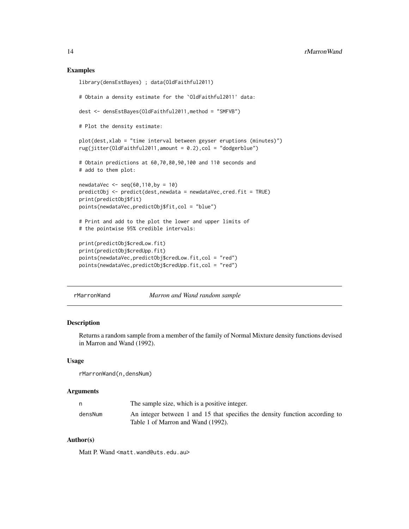#### Examples

```
library(densEstBayes) ; data(OldFaithful2011)
# Obtain a density estimate for the `OldFaithful2011' data:
dest <- densEstBayes(OldFaithful2011,method = "SMFVB")
# Plot the density estimate:
plot(dest,xlab = "time interval between geyser eruptions (minutes)")
rug(jitter(OldFaithful2011,amount = 0.2),col = "dodgerblue")
# Obtain predictions at 60,70,80,90,100 and 110 seconds and
# add to them plot:
newdataVec <- seq(60,110,by = 10)
predictObj <- predict(det, newdata = newdataVec, cred.fit = TRUE)print(predictObj$fit)
points(newdataVec,predictObj$fit,col = "blue")
# Print and add to the plot the lower and upper limits of
# the pointwise 95% credible intervals:
print(predictObj$credLow.fit)
print(predictObj$credUpp.fit)
points(newdataVec,predictObj$credLow.fit,col = "red")
points(newdataVec,predictObj$credUpp.fit,col = "red")
```
rMarronWand *Marron and Wand random sample*

#### Description

Returns a random sample from a member of the family of Normal Mixture density functions devised in Marron and Wand (1992).

#### Usage

rMarronWand(n,densNum)

#### **Arguments**

|         | The sample size, which is a positive integer.                                                                      |
|---------|--------------------------------------------------------------------------------------------------------------------|
| densNum | An integer between 1 and 15 that specifies the density function according to<br>Table 1 of Marron and Wand (1992). |

#### Author(s)

Matt P. Wand <matt.wand@uts.edu.au>

<span id="page-13-0"></span>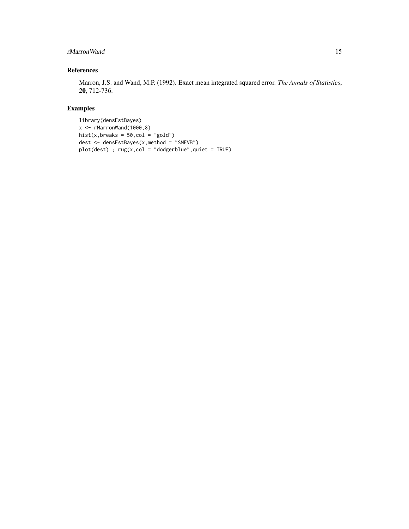# rMarronWand 15

# References

Marron, J.S. and Wand, M.P. (1992). Exact mean integrated squared error. *The Annals of Statistics*, 20, 712-736.

# Examples

library(densEstBayes) x <- rMarronWand(1000,8) hist(x, breaks =  $50$ , col = "gold") dest <- densEstBayes(x,method = "SMFVB") plot(dest) ; rug(x,col = "dodgerblue",quiet = TRUE)